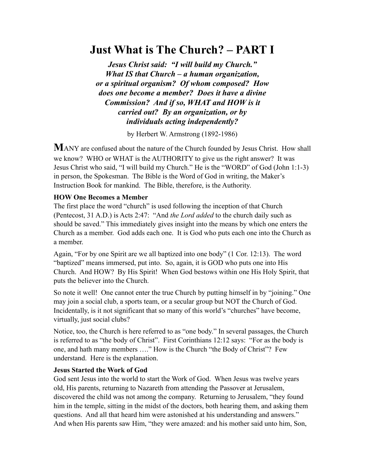# **Just What is The Church? – PART I**

*Jesus Christ said: "I will build my Church." What IS that Church – a human organization, or a spiritual organism? Of whom composed? How does one become a member? Does it have a divine Commission? And if so, WHAT and HOW is it carried out? By an organization, or by individuals acting independently?*

by Herbert W. Armstrong (1892-1986)

**M**ANY are confused about the nature of the Church founded by Jesus Christ. How shall we know? WHO or WHAT is the AUTHORITY to give us the right answer? It was Jesus Christ who said, "I will build my Church." He is the "WORD" of God (John 1:1-3) in person, the Spokesman. The Bible is the Word of God in writing, the Maker's Instruction Book for mankind. The Bible, therefore, is the Authority.

## **HOW One Becomes a Member**

The first place the word "church" is used following the inception of that Church (Pentecost, 31 A.D.) is Acts 2:47: "And *the Lord added* to the church daily such as should be saved." This immediately gives insight into the means by which one enters the Church as a member. God adds each one. It is God who puts each one into the Church as a member.

Again, "For by one Spirit are we all baptized into one body" (1 Cor. 12:13). The word "baptized" means immersed, put into. So, again, it is GOD who puts one into His Church. And HOW? By His Spirit! When God bestows within one His Holy Spirit, that puts the believer into the Church.

So note it well! One cannot enter the true Church by putting himself in by "joining." One may join a social club, a sports team, or a secular group but NOT the Church of God. Incidentally, is it not significant that so many of this world's "churches" have become, virtually, just social clubs?

Notice, too, the Church is here referred to as "one body." In several passages, the Church is referred to as "the body of Christ". First Corinthians 12:12 says: "For as the body is one, and hath many members …." How is the Church "the Body of Christ"? Few understand. Here is the explanation.

#### **Jesus Started the Work of God**

God sent Jesus into the world to start the Work of God. When Jesus was twelve years old, His parents, returning to Nazareth from attending the Passover at Jerusalem, discovered the child was not among the company. Returning to Jerusalem, "they found him in the temple, sitting in the midst of the doctors, both hearing them, and asking them questions. And all that heard him were astonished at his understanding and answers." And when His parents saw Him, "they were amazed: and his mother said unto him, Son,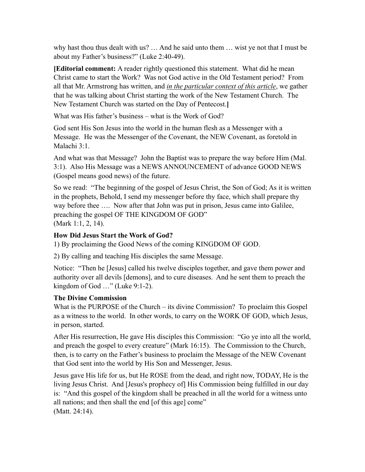why hast thou thus dealt with us? … And he said unto them … wist ye not that I must be about my Father's business?" (Luke 2:40-49).

**[Editorial comment:** A reader rightly questioned this statement. What did he mean Christ came to start the Work? Was not God active in the Old Testament period? From all that Mr. Armstrong has written, and *in the particular context of this article*, we gather that he was talking about Christ starting the work of the New Testament Church. The New Testament Church was started on the Day of Pentecost.**]**

What was His father's business – what is the Work of God?

God sent His Son Jesus into the world in the human flesh as a Messenger with a Message. He was the Messenger of the Covenant, the NEW Covenant, as foretold in Malachi 3:1.

And what was that Message? John the Baptist was to prepare the way before Him (Mal. 3:1). Also His Message was a NEWS ANNOUNCEMENT of advance GOOD NEWS (Gospel means good news) of the future.

So we read: "The beginning of the gospel of Jesus Christ, the Son of God; As it is written in the prophets, Behold, I send my messenger before thy face, which shall prepare thy way before thee …. Now after that John was put in prison, Jesus came into Galilee, preaching the gospel OF THE KINGDOM OF GOD" (Mark 1:1, 2, 14).

# **How Did Jesus Start the Work of God?**

1) By proclaiming the Good News of the coming KINGDOM OF GOD.

2) By calling and teaching His disciples the same Message.

Notice: "Then he [Jesus] called his twelve disciples together, and gave them power and authority over all devils [demons], and to cure diseases. And he sent them to preach the kingdom of God …" (Luke 9:1-2).

# **The Divine Commission**

What is the PURPOSE of the Church – its divine Commission? To proclaim this Gospel as a witness to the world. In other words, to carry on the WORK OF GOD, which Jesus, in person, started.

After His resurrection, He gave His disciples this Commission: "Go ye into all the world, and preach the gospel to every creature" (Mark 16:15). The Commission to the Church, then, is to carry on the Father's business to proclaim the Message of the NEW Covenant that God sent into the world by His Son and Messenger, Jesus.

Jesus gave His life for us, but He ROSE from the dead, and right now, TODAY, He is the living Jesus Christ. And [Jesus's prophecy of] His Commission being fulfilled in our day is: "And this gospel of the kingdom shall be preached in all the world for a witness unto all nations; and then shall the end [of this age] come" (Matt. 24:14).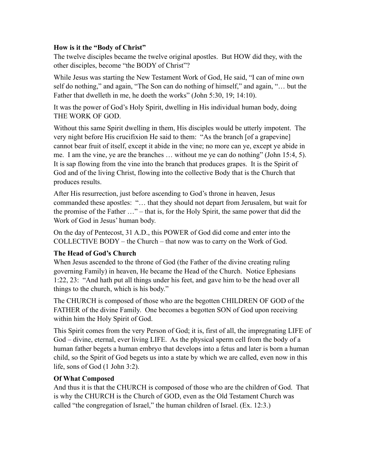# **How is it the "Body of Christ"**

The twelve disciples became the twelve original apostles. But HOW did they, with the other disciples, become "the BODY of Christ"?

While Jesus was starting the New Testament Work of God, He said, "I can of mine own self do nothing," and again, "The Son can do nothing of himself," and again, "… but the Father that dwelleth in me, he doeth the works" (John 5:30, 19; 14:10).

It was the power of God's Holy Spirit, dwelling in His individual human body, doing THE WORK OF GOD.

Without this same Spirit dwelling in them, His disciples would be utterly impotent. The very night before His crucifixion He said to them: "As the branch [of a grapevine] cannot bear fruit of itself, except it abide in the vine; no more can ye, except ye abide in me. I am the vine, ye are the branches … without me ye can do nothing" (John 15:4, 5). It is sap flowing from the vine into the branch that produces grapes. It is the Spirit of God and of the living Christ, flowing into the collective Body that is the Church that produces results.

After His resurrection, just before ascending to God's throne in heaven, Jesus commanded these apostles: "… that they should not depart from Jerusalem, but wait for the promise of the Father …" – that is, for the Holy Spirit, the same power that did the Work of God in Jesus' human body.

On the day of Pentecost, 31 A.D., this POWER of God did come and enter into the COLLECTIVE BODY – the Church – that now was to carry on the Work of God.

# **The Head of God's Church**

When Jesus ascended to the throne of God (the Father of the divine creating ruling governing Family) in heaven, He became the Head of the Church. Notice Ephesians 1:22, 23: "And hath put all things under his feet, and gave him to be the head over all things to the church, which is his body."

The CHURCH is composed of those who are the begotten CHILDREN OF GOD of the FATHER of the divine Family. One becomes a begotten SON of God upon receiving within him the Holy Spirit of God.

This Spirit comes from the very Person of God; it is, first of all, the impregnating LIFE of God – divine, eternal, ever living LIFE. As the physical sperm cell from the body of a human father begets a human embryo that develops into a fetus and later is born a human child, so the Spirit of God begets us into a state by which we are called, even now in this life, sons of God (1 John 3:2).

#### **Of What Composed**

And thus it is that the CHURCH is composed of those who are the children of God. That is why the CHURCH is the Church of GOD, even as the Old Testament Church was called "the congregation of Israel," the human children of Israel. (Ex. 12:3.)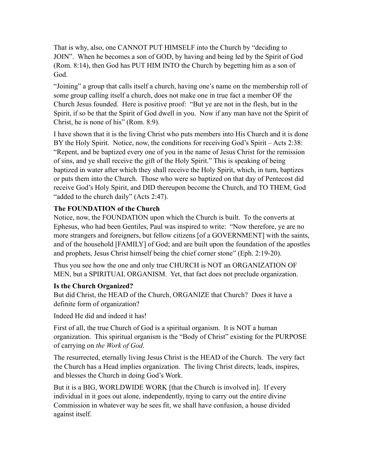That is why, also, one CANNOT PUT HIMSELF into the Church by "deciding to JOIN". When he becomes a son of GOD, by having and being led by the Spirit of God (Rom. 8:14), then God has PUT HIM INTO the Church by begetting him as a son of God.

"Joining" a group that calls itself a church, having one's name on the membership roll of some group calling itself a church, does not make one in true fact a member OF the Church Jesus founded. Here is positive proof: "But ye are not in the flesh, but in the Spirit, if so be that the Spirit of God dwell in you. Now if any man have not the Spirit of Christ, he is none of his" (Rom. 8:9).

I have shown that it is the living Christ who puts members into His Church and it is done BY the Holy Spirit. Notice, now, the conditions for receiving God's Spirit – Acts 2:38: "Repent, and be baptized every one of you in the name of Jesus Christ for the remission of sins, and ye shall receive the gift of the Holy Spirit." This is speaking of being baptized in water after which they shall receive the Holy Spirit, which, in turn, baptizes or puts them into the Church. Those who were so baptized on that day of Pentecost did receive God's Holy Spirit, and DID thereupon become the Church, and TO THEM, God "added to the church daily" (Acts 2:47).

# **The FOUNDATION of the Church**

Notice, now, the FOUNDATION upon which the Church is built. To the converts at Ephesus, who had been Gentiles, Paul was inspired to write: "Now therefore, ye are no more strangers and foreigners, but fellow citizens [of a GOVERNMENT] with the saints, and of the household [FAMILY] of God; and are built upon the foundation of the apostles and prophets, Jesus Christ himself being the chief corner stone" (Eph. 2:19-20).

Thus you see how the one and only true CHURCH is NOT an ORGANIZATION OF MEN, but a SPIRITUAL ORGANISM. Yet, that fact does not preclude organization.

#### **Is the Church Organized?**

But did Christ, the HEAD of the Church, ORGANIZE that Church? Does it have a definite form of organization?

Indeed He did and indeed it has!

First of all, the true Church of God is a spiritual organism. It is NOT a human organization. This spiritual organism is the "Body of Christ" existing for the PURPOSE of carrying on *the Work of God*.

The resurrected, eternally living Jesus Christ is the HEAD of the Church. The very fact the Church has a Head implies organization. The living Christ directs, leads, inspires, and blesses the Church in doing God's Work.

But it is a BIG, WORLDWIDE WORK [that the Church is involved in]. If every individual in it goes out alone, independently, trying to carry out the entire divine Commission in whatever way he sees fit, we shall have confusion, a house divided against itself.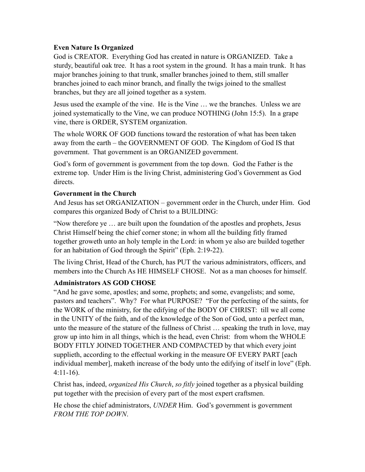# **Even Nature Is Organized**

God is CREATOR. Everything God has created in nature is ORGANIZED. Take a sturdy, beautiful oak tree. It has a root system in the ground. It has a main trunk. It has major branches joining to that trunk, smaller branches joined to them, still smaller branches joined to each minor branch, and finally the twigs joined to the smallest branches, but they are all joined together as a system.

Jesus used the example of the vine. He is the Vine … we the branches. Unless we are joined systematically to the Vine, we can produce NOTHING (John 15:5). In a grape vine, there is ORDER, SYSTEM organization.

The whole WORK OF GOD functions toward the restoration of what has been taken away from the earth – the GOVERNMENT OF GOD. The Kingdom of God IS that government. That government is an ORGANIZED government.

God's form of government is government from the top down. God the Father is the extreme top. Under Him is the living Christ, administering God's Government as God directs.

# **Government in the Church**

And Jesus has set ORGANIZATION – government order in the Church, under Him. God compares this organized Body of Christ to a BUILDING:

"Now therefore ye … are built upon the foundation of the apostles and prophets, Jesus Christ Himself being the chief corner stone; in whom all the building fitly framed together groweth unto an holy temple in the Lord: in whom ye also are builded together for an habitation of God through the Spirit" (Eph. 2:19-22).

The living Christ, Head of the Church, has PUT the various administrators, officers, and members into the Church As HE HIMSELF CHOSE. Not as a man chooses for himself.

# **Administrators AS GOD CHOSE**

"And he gave some, apostles; and some, prophets; and some, evangelists; and some, pastors and teachers". Why? For what PURPOSE? "For the perfecting of the saints, for the WORK of the ministry, for the edifying of the BODY OF CHRIST: till we all come in the UNITY of the faith, and of the knowledge of the Son of God, unto a perfect man, unto the measure of the stature of the fullness of Christ … speaking the truth in love, may grow up into him in all things, which is the head, even Christ: from whom the WHOLE BODY FITLY JOINED TOGETHER AND COMPACTED by that which every joint supplieth, according to the effectual working in the measure OF EVERY PART [each individual member], maketh increase of the body unto the edifying of itself in love" (Eph. 4:11-16).

Christ has, indeed, *organized His Church*, *so fitly* joined together as a physical building put together with the precision of every part of the most expert craftsmen.

He chose the chief administrators, *UNDER* Him. God's government is government *FROM THE TOP DOWN*.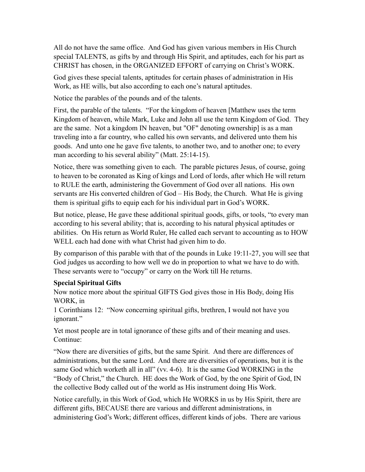All do not have the same office. And God has given various members in His Church special TALENTS, as gifts by and through His Spirit, and aptitudes, each for his part as CHRIST has chosen, in the ORGANIZED EFFORT of carrying on Christ's WORK.

God gives these special talents, aptitudes for certain phases of administration in His Work, as HE wills, but also according to each one's natural aptitudes.

Notice the parables of the pounds and of the talents.

First, the parable of the talents. "For the kingdom of heaven [Matthew uses the term Kingdom of heaven, while Mark, Luke and John all use the term Kingdom of God. They are the same. Not a kingdom IN heaven, but "OF" denoting ownership] is as a man traveling into a far country, who called his own servants, and delivered unto them his goods. And unto one he gave five talents, to another two, and to another one; to every man according to his several ability" (Matt. 25:14-15).

Notice, there was something given to each. The parable pictures Jesus, of course, going to heaven to be coronated as King of kings and Lord of lords, after which He will return to RULE the earth, administering the Government of God over all nations. His own servants are His converted children of God – His Body, the Church. What He is giving them is spiritual gifts to equip each for his individual part in God's WORK.

But notice, please, He gave these additional spiritual goods, gifts, or tools, "to every man according to his several ability; that is, according to his natural physical aptitudes or abilities. On His return as World Ruler, He called each servant to accounting as to HOW WELL each had done with what Christ had given him to do.

By comparison of this parable with that of the pounds in Luke 19:11-27, you will see that God judges us according to how well we do in proportion to what we have to do with. These servants were to "occupy" or carry on the Work till He returns.

#### **Special Spiritual Gifts**

Now notice more about the spiritual GIFTS God gives those in His Body, doing His WORK, in

1 Corinthians 12: "Now concerning spiritual gifts, brethren, I would not have you ignorant."

Yet most people are in total ignorance of these gifts and of their meaning and uses. Continue:

"Now there are diversities of gifts, but the same Spirit. And there are differences of administrations, but the same Lord. And there are diversities of operations, but it is the same God which worketh all in all" (vv. 4-6). It is the same God WORKING in the "Body of Christ," the Church. HE does the Work of God, by the one Spirit of God, IN the collective Body called out of the world as His instrument doing His Work.

Notice carefully, in this Work of God, which He WORKS in us by His Spirit, there are different gifts, BECAUSE there are various and different administrations, in administering God's Work; different offices, different kinds of jobs. There are various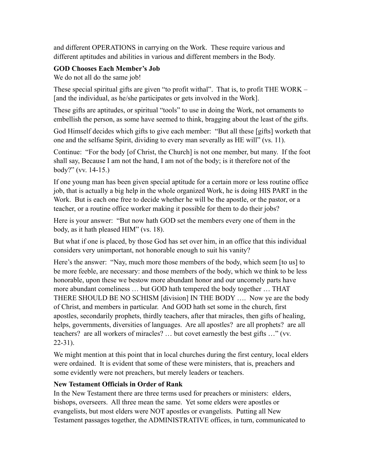and different OPERATIONS in carrying on the Work. These require various and different aptitudes and abilities in various and different members in the Body.

# **GOD Chooses Each Member's Job**

We do not all do the same job!

These special spiritual gifts are given "to profit withal". That is, to profit THE WORK – [and the individual, as he/she participates or gets involved in the Work].

These gifts are aptitudes, or spiritual "tools" to use in doing the Work, not ornaments to embellish the person, as some have seemed to think, bragging about the least of the gifts.

God Himself decides which gifts to give each member: "But all these [gifts] worketh that one and the selfsame Spirit, dividing to every man severally as HE will" (vs. 11).

Continue: "For the body [of Christ, the Church] is not one member, but many. If the foot shall say, Because I am not the hand, I am not of the body; is it therefore not of the body?" (vv. 14-15.)

If one young man has been given special aptitude for a certain more or less routine office job, that is actually a big help in the whole organized Work, he is doing HIS PART in the Work. But is each one free to decide whether he will be the apostle, or the pastor, or a teacher, or a routine office worker making it possible for them to do their jobs?

Here is your answer: "But now hath GOD set the members every one of them in the body, as it hath pleased HIM" (vs. 18).

But what if one is placed, by those God has set over him, in an office that this individual considers very unimportant, not honorable enough to suit his vanity?

Here's the answer: "Nay, much more those members of the body, which seem [to us] to be more feeble, are necessary: and those members of the body, which we think to be less honorable, upon these we bestow more abundant honor and our uncomely parts have more abundant comeliness … but GOD hath tempered the body together … THAT THERE SHOULD BE NO SCHISM [division] IN THE BODY …. Now ye are the body of Christ, and members in particular. And GOD hath set some in the church, first apostles, secondarily prophets, thirdly teachers, after that miracles, then gifts of healing, helps, governments, diversities of languages. Are all apostles? are all prophets? are all teachers? are all workers of miracles? … but covet earnestly the best gifts …" (vv. 22-31).

We might mention at this point that in local churches during the first century, local elders were ordained. It is evident that some of these were ministers, that is, preachers and some evidently were not preachers, but merely leaders or teachers.

# **New Testament Officials in Order of Rank**

In the New Testament there are three terms used for preachers or ministers: elders, bishops, overseers. All three mean the same. Yet some elders were apostles or evangelists, but most elders were NOT apostles or evangelists. Putting all New Testament passages together, the ADMINISTRATIVE offices, in turn, communicated to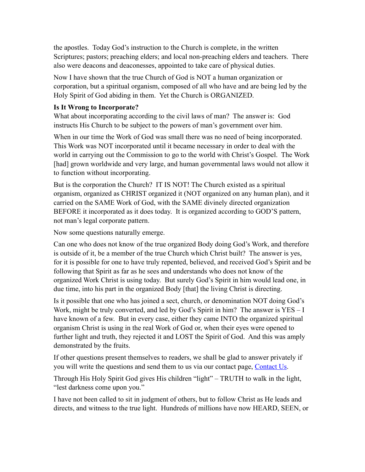the apostles. Today God's instruction to the Church is complete, in the written Scriptures; pastors; preaching elders; and local non-preaching elders and teachers. There also were deacons and deaconesses, appointed to take care of physical duties.

Now I have shown that the true Church of God is NOT a human organization or corporation, but a spiritual organism, composed of all who have and are being led by the Holy Spirit of God abiding in them. Yet the Church is ORGANIZED.

# **Is It Wrong to Incorporate?**

What about incorporating according to the civil laws of man? The answer is: God instructs His Church to be subject to the powers of man's government over him.

When in our time the Work of God was small there was no need of being incorporated. This Work was NOT incorporated until it became necessary in order to deal with the world in carrying out the Commission to go to the world with Christ's Gospel. The Work [had] grown worldwide and very large, and human governmental laws would not allow it to function without incorporating.

But is the corporation the Church? IT IS NOT! The Church existed as a spiritual organism, organized as CHRIST organized it (NOT organized on any human plan), and it carried on the SAME Work of God, with the SAME divinely directed organization BEFORE it incorporated as it does today. It is organized according to GOD'S pattern, not man's legal corporate pattern.

Now some questions naturally emerge.

Can one who does not know of the true organized Body doing God's Work, and therefore is outside of it, be a member of the true Church which Christ built? The answer is yes, for it is possible for one to have truly repented, believed, and received God's Spirit and be following that Spirit as far as he sees and understands who does not know of the organized Work Christ is using today. But surely God's Spirit in him would lead one, in due time, into his part in the organized Body [that] the living Christ is directing.

Is it possible that one who has joined a sect, church, or denomination NOT doing God's Work, might be truly converted, and led by God's Spirit in him? The answer is YES – I have known of a few. But in every case, either they came INTO the organized spiritual organism Christ is using in the real Work of God or, when their eyes were opened to further light and truth, they rejected it and LOST the Spirit of God. And this was amply demonstrated by the fruits.

If other questions present themselves to readers, we shall be glad to answer privately if you will write the questions and send them to us via our contact page, [Contact Us](http://66.147.244.197/%257Ebiblefun/?page_id=33).

Through His Holy Spirit God gives His children "light" – TRUTH to walk in the light, "lest darkness come upon you."

I have not been called to sit in judgment of others, but to follow Christ as He leads and directs, and witness to the true light. Hundreds of millions have now HEARD, SEEN, or